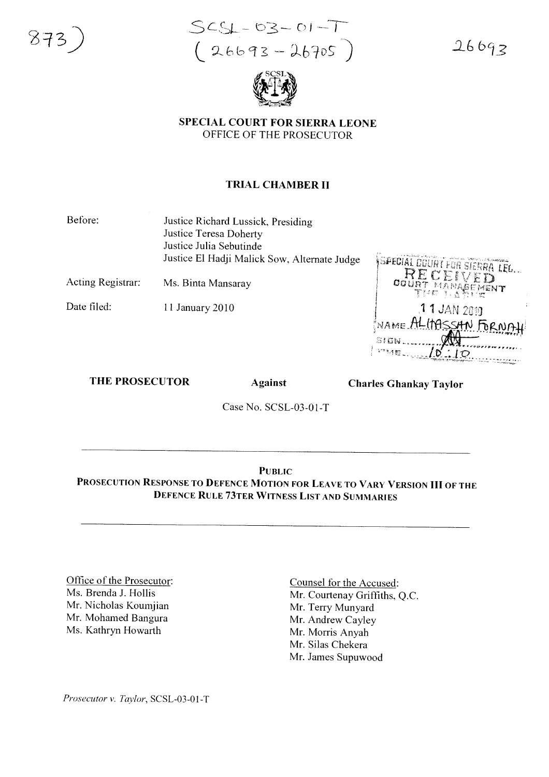

 $SCS1 - 03 - 01 - T$  $(26693 - 26705)$ 

 $26693$ 



SPECIAL COURT FOR SIERRA LEONE OFFICE OF THE PROSECUTOR

## TRIAL CHAMBER II

Before: Justice Richard Lussick, Presiding Justice Teresa Doherty Justice Julia Sebutinde Justice EI Hadji Malick Sow, Alternate Judge

Acting Registrar: Ms. Binta Mansaray

Date filed: 11 January 2010

SPECIAL COURT FOR SIERRA LEL. RECEI  $00\,\mathrm{Hz}$ MENT ที่ 14 ขั 11 JAN 2019 NAME ALIMSSAN FOR NAI

#### THE PROSECUTOR Against

Charles Ghankay Taylor

Case No. SCSL-03-01-T

**PUBLIC** PROSECUTION RESPONSE TO DEFENCE MOTION FOR LEAVE TO VARY V ERSION **III** OF THE DEFENCE RULE 73TER WITNESS LIST AND SUMMARIES

Office of the Prosecutor: Ms. Brenda J. Hollis Mr. Nicholas Koumjian Mr. Mohamed Bangura Ms. Kathryn Howarth

Counsel for the Accused: Mr. Courtenay Griffiths, Q.c. Mr. Terry Munyard Mr. Andrew Cayley Mr. Morris Anyah Mr. Silas Chekera Mr. James Supuwood

*Prosecutor* v. *Taylor*, SCSL-03-01-T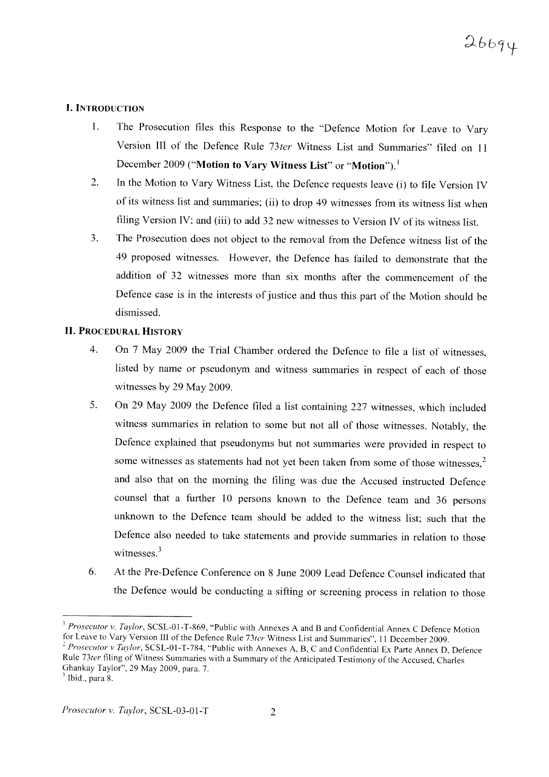## l. INTRODUCTION

- I. The Prosecution files this Response to the "Defence Motion for Leave to Vary Version III of the Defence Rule *73ter* Witness List and Summaries" filed on 11 December 2009 ("Motion to Vary Witness List" or "Motion").<sup>1</sup>
- 2. In the Motion to Vary Witness List, the Defence requests leave (i) to file Version IV of its witness list and summaries; (ii) to drop 49 witnesses from its witness list when filing Version IV; and (iii) to add 32 new witnesses to Version IV of its witness list.
- 3. The Prosecution does not object to the removal from the Defence witness list of the 49 proposed witnesses. However, the Defence has failed to demonstrate that the addition of 32 witnesses more than six months after the commencement of the Defence case is in the interests of justice and thus this part of the Motion should be dismissed.

#### II. PROCEDURAL HISTORY

- 4. On 7 May 2009 the Trial Chamber ordered the Defence to file a list of witnesses, listed by name or pseudonym and witness summaries in respect of each of those witnesses by 29 May 2009.
- 5. On 29 May 2009 the Defence filed a list containing 227 witnesses, which included witness summaries in relation to some but not all of those witnesses. Notably, the Defence explained that pseudonyms but not summaries were provided in respect to some witnesses as statements had not yet been taken from some of those witnesses.<sup>2</sup> and also that on the morning the filing was due the Accused instructed Defence counsel that a further 10 persons known to the Defence team and 36 persons unknown to the Defence team should be added to the witness list; such that the Defence also needed to take statements and provide summaries in relation to those witnesses<sup>3</sup>
- 6. At the Pre-Defence Conference on 8 June 2009 Lead Defence Counsel indicated that the Defence would be conducting a sifting or screening process in relation to those

<sup>&</sup>lt;sup>1</sup> *Prosecutor v. Taylor*, SCSL-01-T-869, "Public with Annexes A and B and Confidential Annex C Defence Motion for Lea ve to Vary Version III of the Defence Rule *73ter* Witness List and Summaries". II December 2009.

<sup>&</sup>lt;sup>2</sup> *Prosecutor v Taylor*, SCSL-01-T-784, "Public with Annexes A, B, C and Confidential Ex Parte Annex D, Defence Rule 73ter filing of Witness Summaries with a Summary of the Anticipated Testimony of the Accused, Charles Ghankay Taylor", 29 May 2009, para. 7.

 $<sup>3</sup>$  Ibid., para 8.</sup>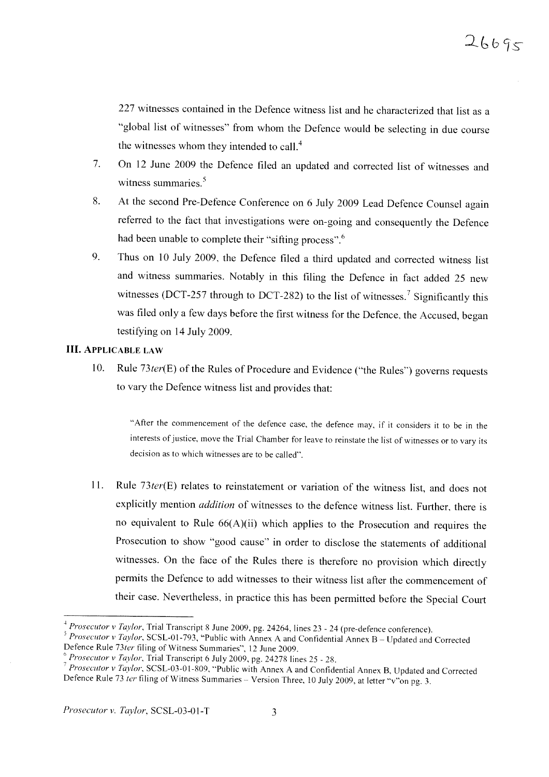227 witnesses contained in the Defence witness list and he characterized that list as a "global list of witnesses" from whom the Defence would be selecting in due course the witnesses whom they intended to call. $<sup>4</sup>$ </sup>

- 7. On 12 June 2009 the Defence filed an updated and corrected list of witnesses and witness summaries.<sup>5</sup>
- 8. At the second Pre-Defence Conference on 6 July 2009 Lead Defence Counsel again referred to the fact that investigations were on-going and consequently the Defence had been unable to complete their "sifting process".<sup>6</sup>
- 9. Thus on 10 July 2009, the Defence filed a third updated and corrected witness list and witness summaries. Notably in this filing the Defence in fact added 25 new witnesses (DCT-257 through to DCT-282) to the list of witnesses.<sup>7</sup> Significantly this was filed only a few days before the first witness for the Defence, the Accused, began testifying on 14 July 2009.

#### **III.** ApPLICABLE LAW

10. Rule 73ter(E) of the Rules of Procedure and Evidence ("the Rules") governs requests to vary the Defence witness list and provides that:

"After the commencement of the defence case, the defence may, if it considers it to be in the interests of justice, move the Trial Chamber for leave to reinstate the list of witnesses or to vary its decision as to which witnesses are to be called".

11. Rule *73ter(E)* relates to reinstatement or variation of the witness list, and does not explicitly mention *addition* of witnesses to the defence witness list. Further, there is no equivalent to Rule  $66(A)(ii)$  which applies to the Prosecution and requires the Prosecution to show "good cause" in order to disclose the statements of additional witnesses. On the face of the Rules there is therefore no provision which directly permits the Defence to add witnesses to their witness list after the commencement of their case. Nevertheless, in practice this has been permitted before the Special Court

<sup>&</sup>lt;sup>4</sup> Prosecutor v Taylor, Trial Transcript 8 June 2009, pg. 24264, lines 23 - 24 (pre-defence conference).

*<sup>5</sup> Prosecutor v <i>Taylor*, SCSL-01-793, "Public with Annex A and Confidential Annex B - Updated and Corrected Defence Rule *73ter* filing of Witness Summaries", 12 June 2009 .

<sup>6</sup> *Prosecutor* v *Taylor.* Trial Transcript 6 July 2009 , pg. 24278 lines 25 - 28.

*Prosecutor v Taylor*, SCSL-03-01-809, "Public with Annex A and Confidential Annex B, Updated and Corrected Defence Rule 73 *ter* filing of Witness Summaries - Version Three, 10 July 2009, at letter "v"on pg. 3.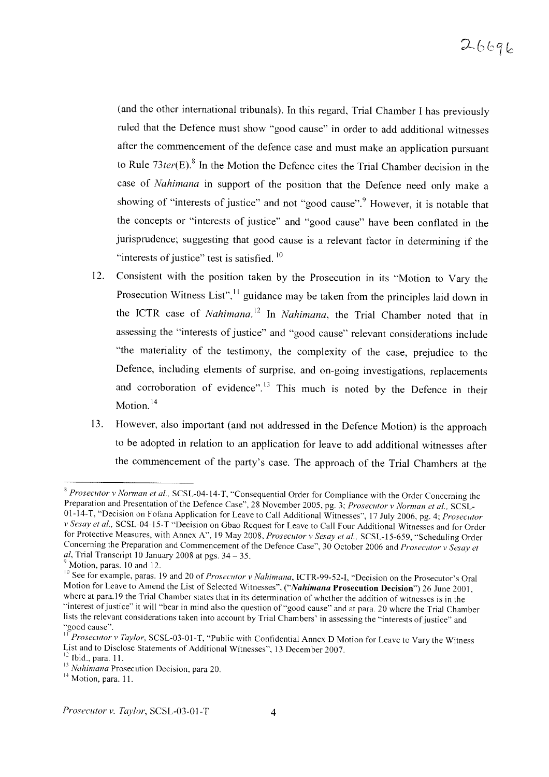# $26696$

(and the other international tribunals). In this regard, Trial Chamber I has previously ruled that the Defence must show "good cause" in order to add additional witnesses after the commencement of the defence case and must make an application pursuant to Rule *73ter(E).8* In the Motion the Defence cites the Trial Chamber decision in the case of *Nahimana* in support of the position that the Defence need only make a showing of "interests of justice" and not "good cause". However, it is notable that the concepts or "interests of justice" and "good cause" have been conflated in the jurisprudence; suggesting that good cause is a relevant factor in determining if the "interests of justice" test is satisfied.  $10$ 

- 12. Consistent with the position taken by the Prosecution in its "Motion to Vary the Prosecution Witness List", $\frac{11}{11}$  guidance may be taken from the principles laid down in the ICTR case of *Nahimana.* <sup>12</sup> In *Nahimana,* the Trial Chamber noted that in assessing the "interests of justice" and "good cause" relevant considerations include "the materiality of the testimony, the complexity of the case, prejudice to the Defence, including elements of surprise, and on-going investigations, replacements and corroboration of evidence".<sup>13</sup> This much is noted by the Defence in their Motion.<sup>14</sup>
- 13. However, also important (and not addressed in the Defence Motion) is the approach to be adopted in relation to an application for leave to add additional witnesses after the commencement of the party's case. The approach of the Trial Chambers at the

<sup>&</sup>lt;sup>8</sup> Prosecutor *v Norman et al.*, SCSL-04-14-T, "Consequential Order for Compliance with the Order Concerning the Preparation and Presentation of the Defence Case", 28 November 2005, pg. 3; *Prosecutor v Norman et al.*, SCSL-01-14-T, "Decision on Fofana Application for Leave to Call Additional Witnesses", 17 July 2006, pg. 4; *Prosecutor v Sesay et al.*, SCSL-04-15-T "Decision on Gbao Request for Leave to Call Four Additional Witnesses and for Order for Protective Measures, with Annex A", 19 May 2008, *Prosecutor v Sesay et al.*, SCSL-15-659, "Scheduling Order Concerning the Preparation and Commencement of the Defence Case", 30 October 2006 and *Prosecutor v Sesay et al*, Trial Transcript 10 January 2008 at pgs.  $34 - 35$ .

 $9$  Motion, paras. 10 and 12.

<sup>10</sup> See for example, paras. 19 and 20 of *Prosecutor v Nahimana,* lCTR- 99-52-I, "Decision on the Prosecutor's Oral Motion for Leave to Amend the List of Selected Witnesses", *("Nahimana Prosecution Decision")* 26 June 2001, where at para.19 the Trial Chamber states that in its determination of whether the addition of witnesses is in the "interest of justice" it will "bear in mind also the question of "good cause" and at para. 20 where the Trial Chamber lists the relevant considerations taken into account by Trial Chambers' in assessing the "interests of justice" and "good cause". "good cause ".

*Prosecutor v Taylor,* SCSL-03-01-T, "Public with Confidential Annex D Motion for Leave to Vary the Witness List and to Disclose Statements of Additional Witnesses", 13 December 2007.

 $12$  Ibid., para. 11.

<sup>&</sup>lt;sup>13</sup> *Nahimana* Prosecution Decision, para 20.

 $14$  Motion, para. 11.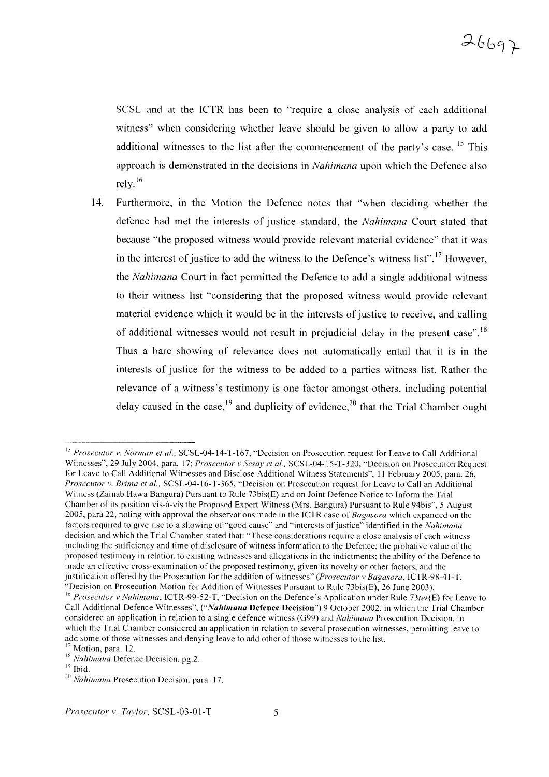SCSL and at the ICTR has been to "require a close analysis of each additional witness" when considering whether leave should be given to allow a party to add additional witnesses to the list after the commencement of the party's case. <sup>15</sup> This approach is demonstrated in the decisions in *Nahimana* upon which the Defence also rely. 16

14. Furthermore, In the Motion the Defence notes that "when deciding whether the defence had met the interests of justice standard, the *Nahimana* Court stated that because "the proposed witness would provide relevant material evidence" that it was in the interest of justice to add the witness to the Defence's witness list".<sup>17</sup> However, the *Nahimana* Court in fact permitted the Defence to add a single additional witness to their witness list "considering that the proposed witness would provide relevant material evidence which it would be in the interests of justice to receive, and calling of additional witnesses would not result in prejudicial delay in the present case".<sup>18</sup> Thus a bare showing of relevance does not automatically entail that it is in the interests of justice for the witness to be added to a parties witness list. Rather the relevance of a witness's testimony is one factor amongst others, including potential delay caused in the case,  $^{19}$  and duplicity of evidence.<sup>20</sup> that the Trial Chamber ought

<sup>15</sup> *Prosecutor v. Norman et al.,* SCSL-04-14-T-167, "Decision on Prosecution request for Leave to Call Additional Witnesses", 29 July 2004, para. 17; *Prosecutor v Sesay et aI.,* SCSL-04-15-T-320, "Decision on Prosecution Request for Leave to Call Additional Witnesses and Disclose Additional Witness Statements", 11 February 2005, para. 26, *Prosecutor v. Brima et al.*, SCSL-04-16-T-365, "Decision on Prosecution request for Leave to Call an Additional Witness (Zainab Hawa Bangura) Pursuant to Rule  $73 \text{bis}(\text{E})$  and on Joint Defence Notice to Inform the Trial Chamber of its position vis-à-vis the Proposed Expert Witness (Mrs. Bangura) Pursuant to Rule 94bis", 5 August 2005, para 22, noting with approval the observations made in the ICTR case of *Bagasora* which expanded on the factors required to give rise to a showing of "good cause" and "interests of justice" identified in the *Nahimana* decision and which the Trial Chamber stated that: "These considerations require a close analysis of each witness including the sufficiency and time of disclosure of witness information to the Defence; the probative value of the proposed testimony in relation to existing witnesses and allegations in the indictments; the ability of the Defence to made an effective cross-examination of the proposed testimony, given its novelty or other factors; and the justification offered by the Prosecution for the addition of witnesses" (Prosecutor v Bagasora, ICTR-98-41-T, "Decision on Prosecution Motion for Addition of Witnesses Pursuant to Rule 73bis(E), 26 June 2003).

<sup>&</sup>lt;sup>16</sup> Prosecutor v Nahimana, ICTR-99-52-T, "Decision on the Defence's Application under Rule 73ter(E) for Leave to Call Additional Defence Witnesses", ("Nahimana Defence Decision") 9 October 2002, in which the Trial Chamber considered an application in relation to a single defence witness (G99) and *Nahimana* Prosecution Decision, in which the Trial Chamber considered an application in relation to several prosecution witnesses, permitting leave to add some of those witnesses and denying leave to add other of those witnesses to the list.  $17$  Motion, para. 12.

<sup>18</sup> *Nahimana* Defence Decision, pg.2.

 $19$  Ibid.

*<sup>20</sup> Nahimana* Prosecution Decision para. 17.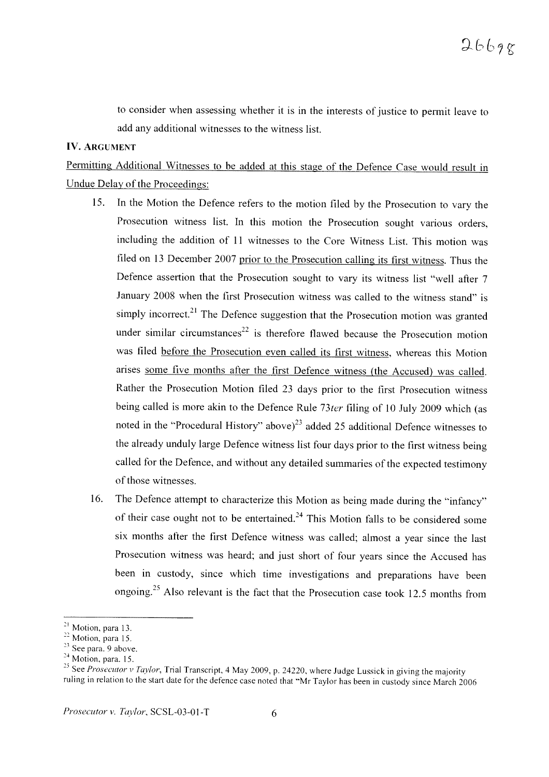to consider when assessing whether it is in the interests of justice to permit leave to add any additional witnesses to the witness list.

### **IV. ARGUMENT**

Permitting Additional Witnesses to be added at this stage of the Defence Case would result in Undue Delay of the Proceedings:

- 15. In the Motion the Defence refers to the motion filed by the Prosecution to vary the Prosecution witness list. In this motion the Prosecution sought various orders, including the addition of 11 witnesses to the Core Witness List. This motion was filed on 13 December 2007 prior to the Prosecution calling its first witness. Thus the Defence assertion that the Prosecution sought to vary its witness list "well after 7 January 2008 when the first Prosecution witness was called to the witness stand" is simply incorrect.<sup>21</sup> The Defence suggestion that the Prosecution motion was granted under similar circumstances<sup>22</sup> is therefore flawed because the Prosecution motion was filed before the Prosecution even called its first witness, whereas this Motion arises some five months after the first Defence witness (the Accused) was called. Rather the Prosecution Motion filed 23 days prior to the first Prosecution witness being called is more akin to the Defence Rule *73ter* filing of 10 July 2009 which (as noted in the "Procedural History" above)<sup>23</sup> added 25 additional Defence witnesses to the already unduly large Defence witness list four days prior to the first witness being called for the Defence, and without any detailed summaries of the expected testimony of those witnesses.
- 16. The Defence attempt to characterize this Motion as being made during the "infancy" of their case ought not to be entertained.<sup>24</sup> This Motion falls to be considered some six months after the first Defence witness was called; almost a year since the last Prosecution witness was heard; and just short of four years since the Accused has been in custody, since which time investigations and preparations have been ongoing.<sup>25</sup> Also relevant is the fact that the Prosecution case took 12.5 months from

<sup>&</sup>lt;sup>21</sup> Motion, para 13.

<sup>&</sup>lt;sup>22</sup> Motion, para 15.

 $23$  See para. 9 above.

 $24$  Motion, para. 15.

<sup>&</sup>lt;sup>25</sup> See *Prosecutor v Taylor*, Trial Transcript, 4 May 2009, p. 24220, where Judge Lussick in giving the majority ruling in relation to the start date for the defence case noted that "Mr Taylor has been in custody since March 2006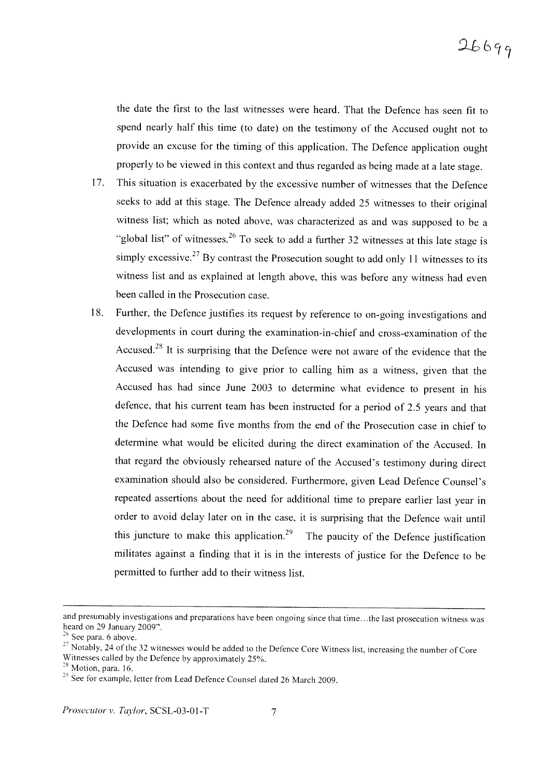the date the first to the last witnesses were heard. That the Defence has seen fit to spend nearly half this time (to date) on the testimony of the Accused ought not to provide an excuse for the timing of this application. The Defence application ought properly to be viewed in this context and thus regarded as being made at a late stage.

- 17. This situation is exacerbated by the excessive number of witnesses that the Defence seeks to add at this stage. The Defence already added 25 witnesses to their original witness list; which as noted above, was characterized as and was supposed to be a "global list" of witnesses.<sup>26</sup> To seek to add a further 32 witnesses at this late stage is simply excessive.<sup>27</sup> By contrast the Prosecution sought to add only 11 witnesses to its witness list and as explained at length above, this was before any witness had even been called in the Prosecution case.
- 18. Further, the Defence justifies its request by reference to on-going investigations and developments in court during the examination-in-chief and cross-examination of the Accused.<sup>28</sup> It is surprising that the Defence were not aware of the evidence that the Accused was intending to give prior to calling him as a witness, given that the Accused has had since June 2003 to determine what evidence to present in his defence, that his current team has been instructed for a period of 2.5 years and that the Defence had some five months from the end of the Prosecution case in chief to determine what would be elicited during the direct examination of the Accused. In that regard the obviously rehearsed nature of the Accused's testimony during direct examination should also be considered. Furthermore, given Lead Defence Counsel's repeated assertions about the need for additional time to prepare earlier last year in order to avoid delay later on in the case, it is surprising that the Defence wait until this juncture to make this application.<sup>29</sup> The paucity of the Defence justification militates against a finding that it is in the interests of justice for the Defence to be permitted to further add to their witness list.

and presumably investigations and preparations have been ongoing since that time...the last prosecution witness was heard on 29 January 2009".

 $26$  See para. 6 above.

<sup>&</sup>lt;sup>27</sup> Notably, 24 of the 32 witnesses would be added to the Defence Core Witness list, increasing the number of Core Witnesses called by the Defence by approximately 25%.

 $28$  Motion, para. 16.

<sup>&</sup>lt;sup>29</sup> See for example, letter from Lead Defence Counsel dated 26 March 2009.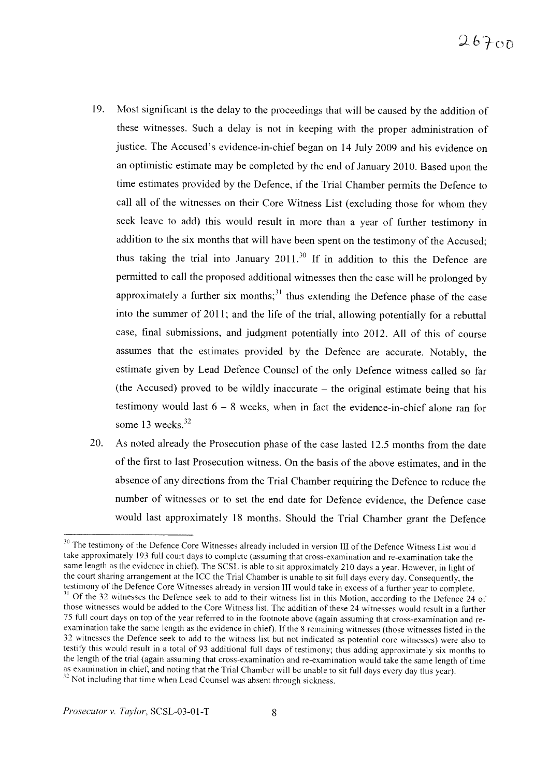- 19. Most significant is the delay to the proceedings that will be caused by the addition of these witnesses. Such a delay is not in keeping with the proper administration of justice. The Accused's evidence-in-chief began on 14 July 2009 and his evidence on an optimistic estimate may be completed by the end of January 2010. Based upon the time estimates provided by the Defence, if the Trial Chamber permits the Defence to call all of the witnesses on their Core Witness List (excluding those for whom they seek leave to add) this would result in more than a year of further testimony in addition to the six months that will have been spent on the testimony of the Accused; thus taking the trial into January  $2011<sup>30</sup>$  If in addition to this the Defence are permitted to call the proposed additional witnesses then the case will be prolonged by approximately a further six months;  $31$  thus extending the Defence phase of the case into the summer of 2011; and the life of the trial, allowing potentially for a rebuttal case, final submissions, and judgment potentially into 2012. All of this of course assumes that the estimates provided by the Defence are accurate. Notably, the estimate given by Lead Defence Counsel of the only Defence witness called so far (the Accused) proved to be wildly inaccurate  $-$  the original estimate being that his testimony would last  $6 - 8$  weeks, when in fact the evidence-in-chief alone ran for some 13 weeks.<sup>32</sup>
- 20. As noted already the Prosecution phase of the case lasted 12.5 months from the date of the first to last Prosecution witness. On the basis of the above estimates, and in the absence of any directions from the Trial Chamber requiring the Defence to reduce the number of witnesses or to set the end date for Defence evidence, the Defence case would last approximately 18 months. Should the Trial Chamber grant the Defence

<sup>&</sup>lt;sup>30</sup> The testimony of the Defence Core Witnesses already included in version III of the Defence Witness List would take approximately 193 full court days to complete (assuming that cross-examination and re-examination take the same length as the evidence in chief). The SCSL is able to sit approximately 210 days a year. However, in light of the court sharing arrangement at the ICC the Trial Chamber is unable to sit full days every day. Consequently, the testimony of the Defence Core Witnesses already in version III would take in excess of a further year to complete.  $\frac{31}{31}$  Of the 32 witnesses the Defence seek to add to their witness list in this Motion, according to the Defence 24 of those witnesses would be added to the Core Witness list. The addition of these 24 witnesses would result in a further 75 full court days on top of the year referred to in the footnote above (again assuming that cross-examination and reexamination take the same length as the evidence in chief). If the 8 remaining witnesses (those witnesses listed in the 32 witnesses the Defence seek to add to the witness list but not indicated as potential core witnesses) were also to testify this would result in a total of 93 additional full days of testimony; thus adding approximately six months to the length of the trial (again assuming that cross-examination and re-examination would take the same length of time as examination in chief, and noting that the Trial Chamber will be unable to sit full days every day this year). <sup>32</sup> Not including that time when Lead Counsel was absent through sickness.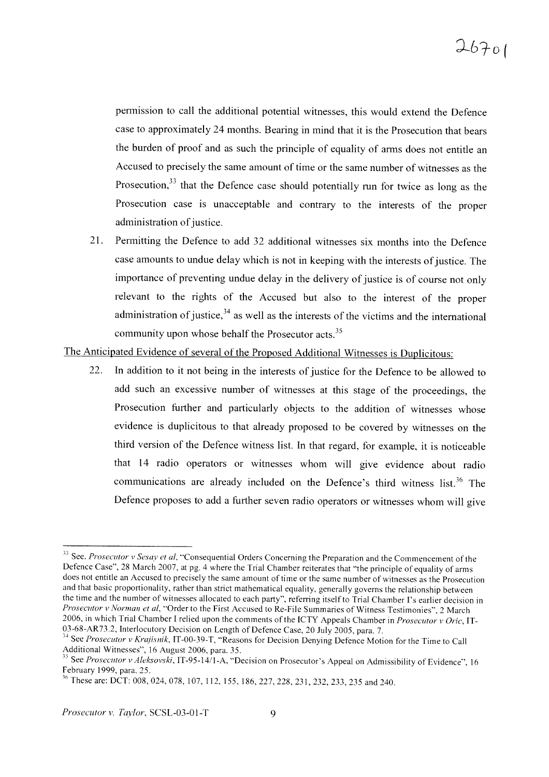permission to call the additional potential witnesses, this would extend the Defence case to approximately 24 months. Bearing in mind that it is the Prosecution that bears the burden of proof and as such the principle of equality of arms does not entitle an Accused to precisely the same amount of time or the same number of witnesses as the Prosecution, $33$  that the Defence case should potentially run for twice as long as the Prosecution case is unacceptable and contrary to the interests of the proper administration of justice.

21. Permitting the Defence to add 32 additional witnesses six months into the Defence case amounts to undue delay which is not in keeping with the interests of justice. The importance of preventing undue delay in the delivery of justice is of course not only relevant to the rights of the Accused but also to the interest of the proper administration of justice,  $34$  as well as the interests of the victims and the international community upon whose behalf the Prosecutor acts.<sup>35</sup>

The Anticipated Evidence of several of the Proposed Additional Witnesses is Duplicitous:

22. In addition to it not being in the interests of justice for the Defence to be allowed to add such an excessive number of witnesses at this stage of the proceedings, the Prosecution further and particularly objects to the addition of witnesses whose evidence is duplicitous to that already proposed to be covered by witnesses on the third version of the Defence witness list. In that regard, for example, it is noticeable that 14 radio operators or witnesses whom will give evidence about radio communications are already included on the Defence's third witness list.<sup>36</sup> The Defence proposes to add a further seven radio operators or witnesses whom will give

<sup>.13</sup> See. *Prosecutor v Sesay et al,* "Consequential Orders Concerning the Preparation and the Commencement of the Defence Case", 28 March 2007, at pg. 4 where the Trial Chamber reiterates that "the principle of equality of arms does not entitle an Accused to precisely the same amount of time or the same number of witnesses as the Prosecution and that basic proportionality, rather than strict mathematical equality, generally governs the relationship between the time and the number of witnesses allocated to each party", referring itself to Trial Chamber I's earlier decision in *Prosecutor v Norman et al,* "Order to the First Accused to Re-File Summaries of Witness Testimonies", 2 March 2006, in which Trial Chamber I relied upon the comments of the ICTY Appeals Chamber in *Prosecutor* v Oric, IT-03-68-AR73.2, Interlocutory Decision on Length of Defence Case, 20 July 2005, para. 7.

<sup>&</sup>lt;sup>34</sup> See *Prosecutor v Krajisnik*, IT-00-39-T, "Reasons for Decision Denying Defence Motion for the Time to Call Additional Witnesses", 16 August 2006, para. 35.

<sup>&</sup>lt;sup>35</sup> See *Prosecutor* v *Aleksovski*, IT-95-14/1-A, "Decision on Prosecutor's Appeal on Admissibility of Evidence", 16 February 1999, para. 25.

<sup>&</sup>lt;sup>36</sup> These are: DCT: 008, 024, 078, 107, 112, 155, 186, 227, 228, 231, 232, 233, 235 and 240.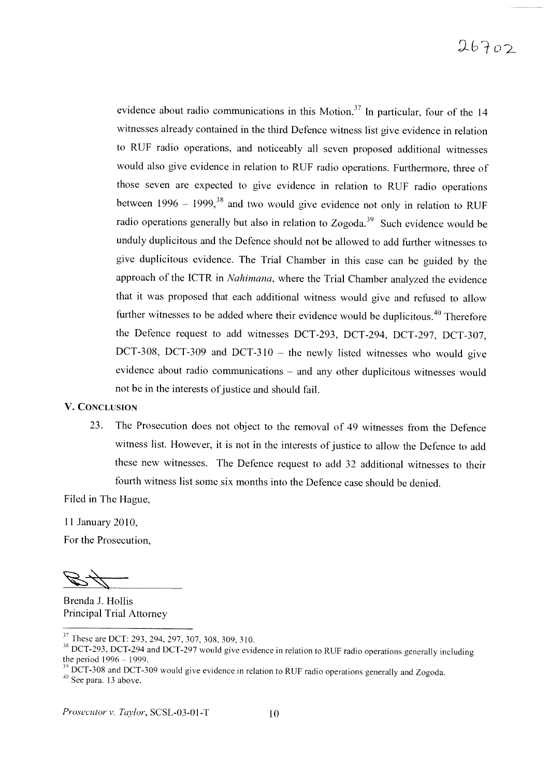# $26702$

evidence about radio communications in this Motion.<sup>37</sup> In particular, four of the 14 witnesses already contained in the third Defence witness list give evidence in relation to RUF radio operations, and noticeably all seven proposed additional witnesses would also give evidence in relation to RUF radio operations. Furthermore, three of those seven are expected to give evidence in relation to RUF radio operations between  $1996 - 1999$ ,<sup>38</sup> and two would give evidence not only in relation to RUF radio operations generally but also in relation to Zogoda.<sup>39</sup> Such evidence would be unduly duplicitous and the Defence should not be allowed to add further witnesses to give duplicitous evidence. The Trial Chamber in this case can be guided by the approach of the ICTR in *Nahimana,* where the Trial Chamber analyzed the evidence that it was proposed that each additional witness would give and refused to allow further witnesses to be added where their evidence would be duplicitous. $40$  Therefore the Defence request to add witnesses DCT-293, DCT-294, DCT-297, DCT-307, DCT-308, DCT-309 and DCT-310  $-$  the newly listed witnesses who would give evidence about radio communications – and any other duplicitous witnesses would not be in the interests of justice and should fail.

#### V. CONCLUSION

23. The Prosecution does not object to the removal of 49 witnesses from the Defence witness list. However, it is not in the interests of justice to allow the Defence to add these new witnesses. The Defence request to add 32 additional witnesses to their fourth witness list some six months into the Defence case should be denied.

Filed in The Hague,

11 January 2010, For the Prosecution,

Brenda J. Hollis Principal Trial Attorney

<sup>&</sup>lt;sup>37</sup> These are DCT: 293, 294, 297, 307, 308, 309, 310.

<sup>&</sup>lt;sup>38</sup> DCT-293, DCT-294 and DCT-297 would give evidence in relation to RUF radio operations generally including the period  $1996 - 1999$ .

 $^{39}_{39}$  DCT-308 and DCT-309 would give evidence in relation to RUF radio operations generally and Zogoda.

 $40$  See para. 13 above.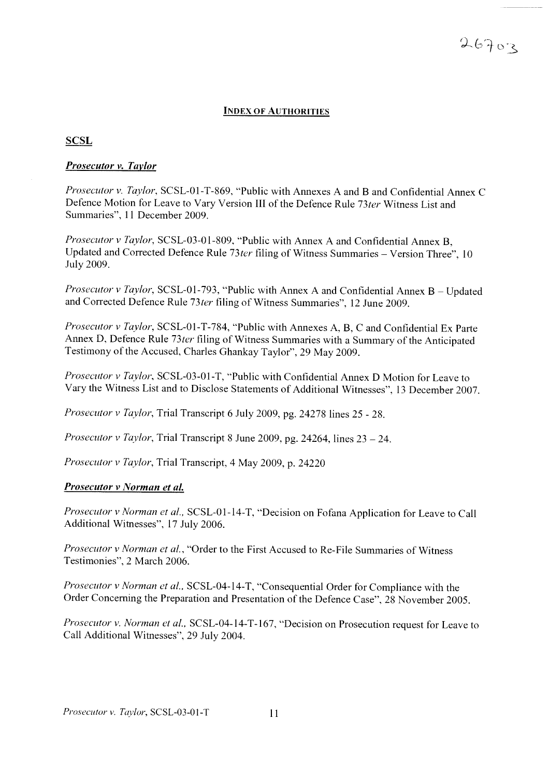#### INDEX OF AUTHORITIES

#### **SCSL**

#### *Prosecutor v. Tavlor*

*Prosecutor v. Taylor,* SCSL-OI-T-869, "Public with Annexes A and B and Confidential Annex C Defence Motion for Leave to Vary Version III of the Defence Rule 73ter Witness List and Summaries", 11 December 2009.

*Prosecutor v Taylor*, SCSL-03-01-809, "Public with Annex A and Confidential Annex B. Updated and Corrected Defence Rule 73ter filing of Witness Summaries - Version Three", 10 July 2009.

*Prosecutor v Taylor,* SCSL-O1-793, "Public with Annex A and Confidential Annex B - Updated and Corrected Defence Rule 73*ter* filing of Witness Summaries", 12 June 2009.

*Prosecutor v Taylor*, SCSL-01-T-784, "Public with Annexes A, B, C and Confidential Ex Parte Annex D, Defence Rule *73ter* filing of Witness Summaries with a Summary of the Anticipated Testimony of the Accused, Charles Ghankay Taylor", 29 May 2009.

*Prosecutor v Taylor,* SCSL-03-01-T, "Public with Confidential Annex D Motion for Leave to Vary the Witness List and to Disclose Statements of Additional Witnesses", 13 December 2007.

*Prosecutor v Taylor,* Trial Transcript 6 July 2009, pg. 24278 lines 25 - 28.

*Prosecutor*  $\nu$  *Taylor*, Trial Transcript 8 June 2009, pg. 24264, lines  $23 - 24$ .

*Prosecutor v Taylor,* Trial Transcript, 4 May 2009, p. 24220

#### *Prosecutor v Norman et al.*

*Prosecutor v Norman et al..* SCSL-Ol-14-T, "Decision on Fofana Application for Leave to Call Additional Witnesses", 17 July 2006.

*Prosecutor v Norman et al.,* "Order to the First Accused to Re-File Summaries of Witness Testimonies", 2 March 2006.

*Prosecutor v Norman et al..* SCSL-04-14-T, "Consequential Order for Compliance with the Order Concerning the Preparation and Presentation of the Defence Case", 28 November 2005.

*Prosecutor v. Norman et al..* SCSL-04-14-T-167, "Decision on Prosecution request for Leave to Call Additional Witnesses", 29 July 2004.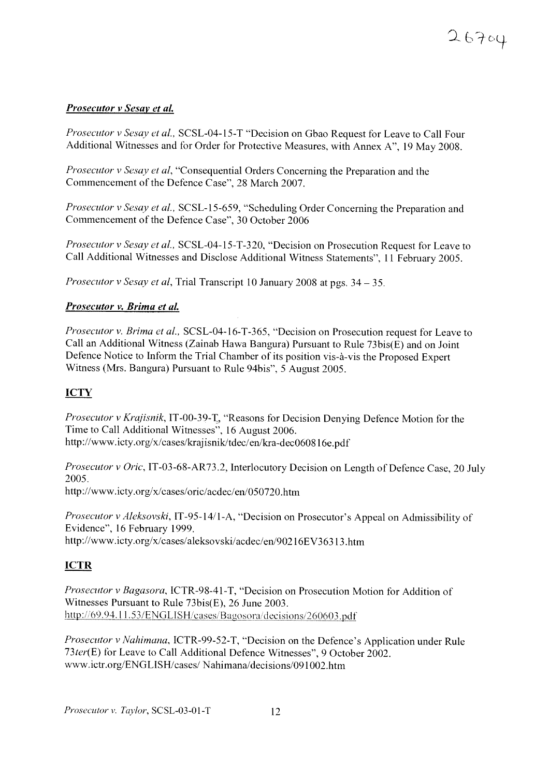## *Prosecutor v Sesav et al.*

*Prosecutor v Sesay et al.*, SCSL-04-15-T "Decision on Gbao Request for Leave to Call Four Additional Witnesses and for Order for Protective Measures, with Annex A", 19 May 2008.

*Prosecutor v Sesay et aI,* "Consequential Orders Concerning the Preparation and the Commencement of the Defence Case", 28 March 2007.

*Prosecutor v Sesay et al.,* SCSL-15-659, "Scheduling Order Concerning the Preparation and Commencement of the Defence Case", 30 October 2006

*Prosecutor v Sesay et al.,* SCSL-04-15-T-320, "Decision on Prosecution Request for Leave to Call Additional Witnesses and Disclose Additional Witness Statements", 11 February 2005 .

*Prosecutor v Sesay et al,* Trial Transcript 10 January 2008 at pgs. 34 - 35.

### *Prosecutor v. Brima et al.*

*Prosecutor v. Brirna et al.,* SCSL-04-16-T-365, "Decision on Prosecution request for Leave to Call an Additional Witness (Zainab Hawa Bangura) Pursuant to Rule 73bis(E) and on Joint Defence Notice to Inform the Trial Chamber of its position vis-à-vis the Proposed Expert Witness (Mrs. Bangura) Pursuant to Rule 94bis", 5 August 2005.

## **ICTY**

*Prosecutor v Krajisnik,* IT-00-39-1, "Reasons for Decision Denying Defence Motion for the Time to Call Additional Witnesses", 16 August 2006. http://www.icty.org/x/cases/krajisnik/tdec/en/kra-dec060816e.pdf

*Pros ecutor v Oric,* IT-03-68-AR73.2, Interlocutory Decision on Length of Defence Case, 20 July 2005.

http://www.icty.org/x/cases/oric/acdec/en/050720.htm

*Prosecutor v Aleksovski,* IT-95-141l-A, "Decision on Prosecutor's Appeal on Admissibility of Evidence", 16 February 1999. http://www.icty.org/x/cases/aleksovski/acdec/en/90216EV36313.htm

## ICTR

*Prosecutor v Bagasora.* lCTR-98-41 -T, "Decision on Prosecution Motion for Addition of Witnesses Pursuant to Rule 73bis(E), 26 June 2003. http://69.94.11.53/ENGLISH/cases/Bagosora/decisions/260603.pdf

*Prosecutor v Nahimana.* ICTR-99-52-T, "Decision on the Defence 's Application under Rule 73ter(E) for Leave to Call Additional Defence Witnesses", 9 October 2002. www.ictr.org/ENGLISH/cases/Nahimana/decisions/091002.htm